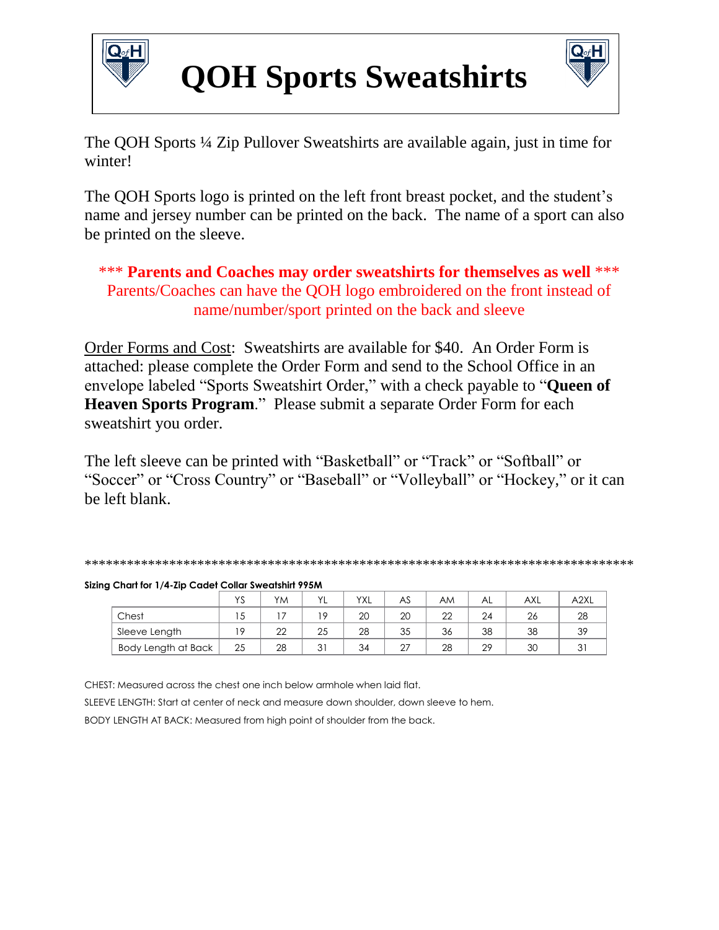

## **QOH Sports Sweatshirts**



The QOH Sports ¼ Zip Pullover Sweatshirts are available again, just in time for winter!

The QOH Sports logo is printed on the left front breast pocket, and the student's name and jersey number can be printed on the back. The name of a sport can also be printed on the sleeve.

\*\*\* **Parents and Coaches may order sweatshirts for themselves as well** \*\*\* Parents/Coaches can have the QOH logo embroidered on the front instead of name/number/sport printed on the back and sleeve

Order Forms and Cost: Sweatshirts are available for \$40. An Order Form is attached: please complete the Order Form and send to the School Office in an envelope labeled "Sports Sweatshirt Order," with a check payable to "**Queen of Heaven Sports Program**." Please submit a separate Order Form for each sweatshirt you order.

The left sleeve can be printed with "Basketball" or "Track" or "Softball" or "Soccer" or "Cross Country" or "Baseball" or "Volleyball" or "Hockey," or it can be left blank.

| ***********<br>.<br>.<br>.<br>$\sim$ $\sim$ $\sim$ $\sim$<br>$\sim$ $\sim$ $\sim$ $\sim$<br>. הזא הזא הזא הזא הזא הזא הזא<br>.<br>ה הה ה<br>.<br>ה הה הה הה הה הה הה ה |
|------------------------------------------------------------------------------------------------------------------------------------------------------------------------|
|------------------------------------------------------------------------------------------------------------------------------------------------------------------------|

|  |  |  | Sizing Chart for 1/4-Zip Cadet Collar Sweatshirt 995M |  |
|--|--|--|-------------------------------------------------------|--|

|                     | $\sqrt{c}$<br>2 | YM             | $\mathcal{U}$ | <b>YXL</b> | AS           | AM     | AL | <b>AXL</b> | A <sub>2XL</sub> |
|---------------------|-----------------|----------------|---------------|------------|--------------|--------|----|------------|------------------|
| Chest               | C               |                | 19            | 20         | 20           | $\cap$ | 24 | 26         | 28               |
| Sleeve Length       | $\Omega$        | $\Omega$<br>∠∠ | 25            | 28         | 35           | 36     | 38 | 38         | 39               |
| Body Length at Back | 25              | 28             | 21<br>ັບເ     | 34         | $\sim$<br>z. | 28     | 29 | 30         | ັ                |

CHEST: Measured across the chest one inch below armhole when laid flat. SLEEVE LENGTH: Start at center of neck and measure down shoulder, down sleeve to hem. BODY LENGTH AT BACK: Measured from high point of shoulder from the back.